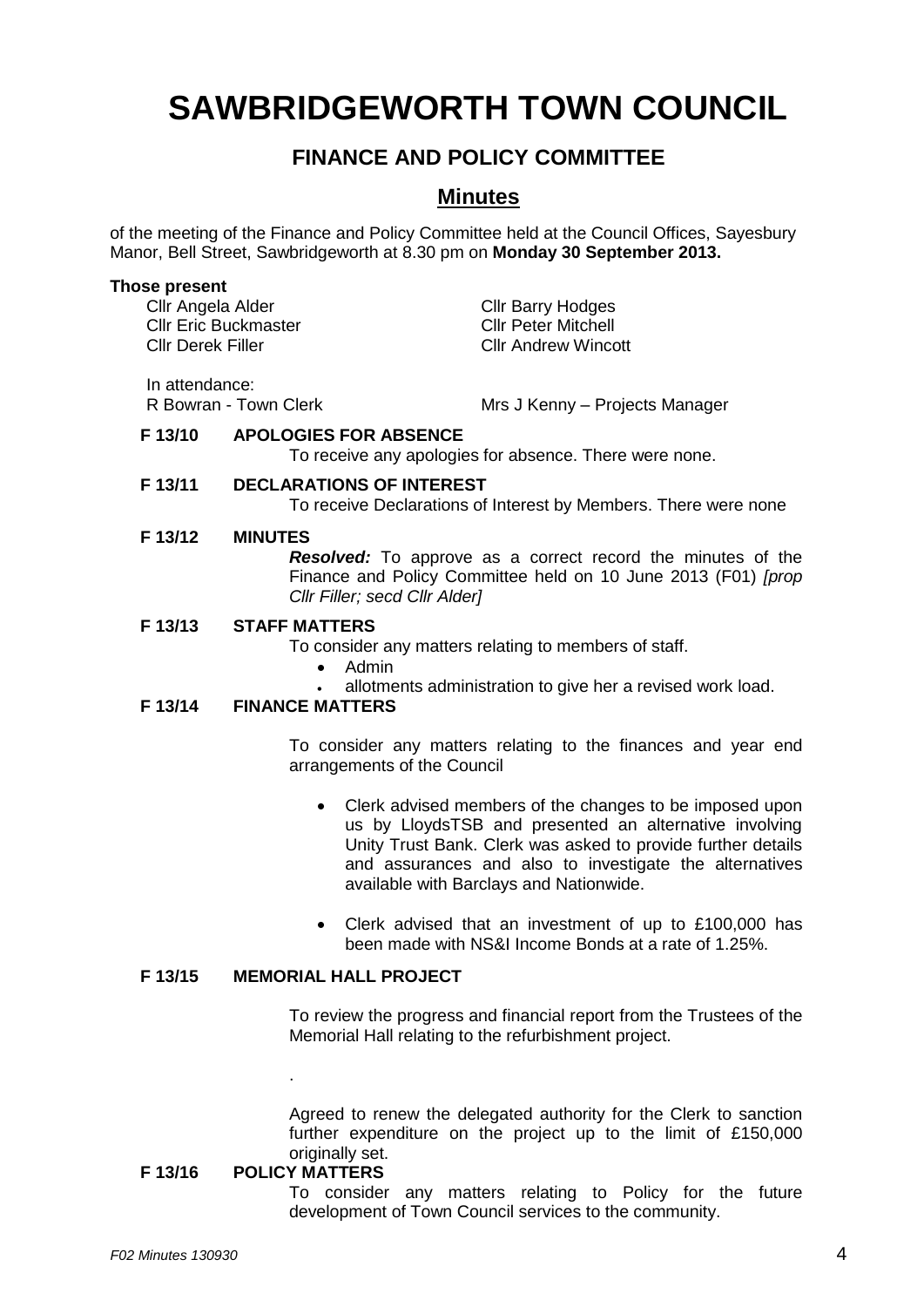# **SAWBRIDGEWORTH TOWN COUNCIL**

# **FINANCE AND POLICY COMMITTEE**

## **Minutes**

of the meeting of the Finance and Policy Committee held at the Council Offices, Sayesbury Manor, Bell Street, Sawbridgeworth at 8.30 pm on **Monday 30 September 2013.**

#### **Those present**

Cllr Angela Alder Cllr Barry Hodges<br>Cllr Eric Buckmaster Cllr Cllr Peter Mitchell Cllr Eric Buckmaster Cllr Derek Filler Cllr Andrew Wincott In attendance:

R Bowran - Town Clerk Mrs J Kenny – Projects Manager

### **F 13/10 APOLOGIES FOR ABSENCE**

To receive any apologies for absence. There were none.

#### **F 13/11 DECLARATIONS OF INTEREST** To receive Declarations of Interest by Members. There were none

#### **F 13/12 MINUTES**

*Resolved:* To approve as a correct record the minutes of the Finance and Policy Committee held on 10 June 2013 (F01) *[prop Cllr Filler; secd Cllr Alder]*

#### **F 13/13 STAFF MATTERS**

To consider any matters relating to members of staff.

- Admin
- allotments administration to give her a revised work load.

### **F 13/14 FINANCE MATTERS**

To consider any matters relating to the finances and year end arrangements of the Council

- Clerk advised members of the changes to be imposed upon us by LloydsTSB and presented an alternative involving Unity Trust Bank. Clerk was asked to provide further details and assurances and also to investigate the alternatives available with Barclays and Nationwide.
- Clerk advised that an investment of up to £100,000 has been made with NS&I Income Bonds at a rate of 1.25%.

#### **F 13/15 MEMORIAL HALL PROJECT**

To review the progress and financial report from the Trustees of the Memorial Hall relating to the refurbishment project.

Agreed to renew the delegated authority for the Clerk to sanction further expenditure on the project up to the limit of £150,000 originally set.

#### **F 13/16 POLICY MATTERS**

.

To consider any matters relating to Policy for the future development of Town Council services to the community.